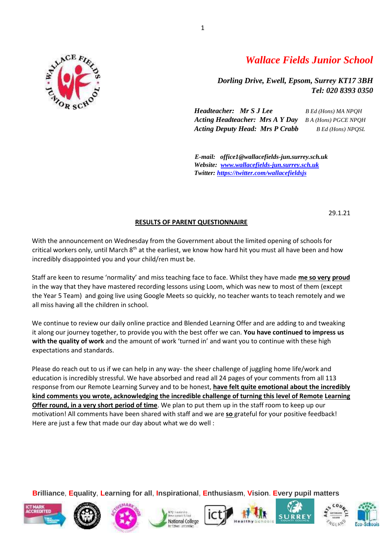

# *Wallace Fields Junior School*

*Dorling Drive, Ewell, Epsom, Surrey KT17 3BH Tel: 020 8393 0350* 

*Headteacher: Mr S J Lee B Ed (Hons) MA NPQH Acting Headteacher: Mrs A Y Day B A (Hons) PGCE NPQH Acting Deputy Head: Mrs P Crabb B Ed (Hons) NPQSL*

*E-mail: office1@wallacefields-jun.surrey.sch.uk Website: [www.wallacefields-jun.surrey.sch.uk](http://www.wallacefields-jun.surrey.sch.uk/) Twitter: <https://twitter.com/wallacefieldsjs>*

29.1.21

#### **RESULTS OF PARENT QUESTIONNAIRE**

With the announcement on Wednesday from the Government about the limited opening of schools for critical workers only, until March  $8<sup>th</sup>$  at the earliest, we know how hard hit you must all have been and how incredibly disappointed you and your child/ren must be.

Staff are keen to resume 'normality' and miss teaching face to face. Whilst they have made **me so very proud** in the way that they have mastered recording lessons using Loom, which was new to most of them (except the Year 5 Team) and going live using Google Meets so quickly, no teacher wants to teach remotely and we all miss having all the children in school.

We continue to review our daily online practice and Blended Learning Offer and are adding to and tweaking it along our journey together, to provide you with the best offer we can. **You have continued to impress us with the quality of work** and the amount of work 'turned in' and want you to continue with these high expectations and standards.

Please do reach out to us if we can help in any way- the sheer challenge of juggling home life/work and education is incredibly stressful. We have absorbed and read all 24 pages of your comments from all 113 response from our Remote Learning Survey and to be honest, **have felt quite emotional about the incredibly kind comments you wrote, acknowledging the incredible challenge of turning this level of Remote Learning Offer round, in a very short period of time**. We plan to put them up in the staff room to keep up our motivation! All comments have been shared with staff and we are **so** grateful for your positive feedback! Here are just a few that made our day about what we do well :













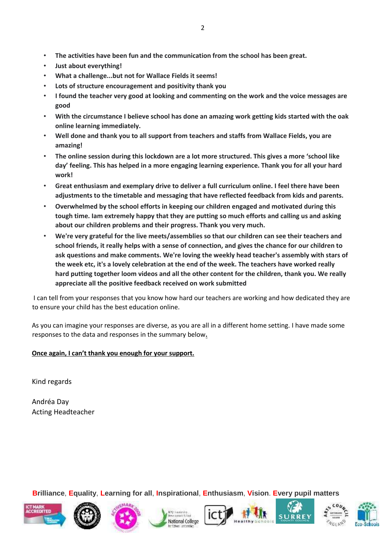- **The activities have been fun and the communication from the school has been great.**
- **Just about everything!**
- **What a challenge...but not for Wallace Fields it seems!**
- **Lots of structure encouragement and positivity thank you**
- **I found the teacher very good at looking and commenting on the work and the voice messages are good**
- **With the circumstance I believe school has done an amazing work getting kids started with the oak online learning immediately.**
- **Well done and thank you to all support from teachers and staffs from Wallace Fields, you are amazing!**
- **The online session during this lockdown are a lot more structured. This gives a more 'school like day' feeling. This has helped in a more engaging learning experience. Thank you for all your hard work!**
- **Great enthusiasm and exemplary drive to deliver a full curriculum online. I feel there have been adjustments to the timetable and messaging that have reflected feedback from kids and parents.**
- **Overwhelmed by the school efforts in keeping our children engaged and motivated during this tough time. Iam extremely happy that they are putting so much efforts and calling us and asking about our children problems and their progress. Thank you very much.**
- **We're very grateful for the live meets/assemblies so that our children can see their teachers and school friends, it really helps with a sense of connection, and gives the chance for our children to ask questions and make comments. We're loving the weekly head teacher's assembly with stars of the week etc, it's a lovely celebration at the end of the week. The teachers have worked really hard putting together loom videos and all the other content for the children, thank you. We really appreciate all the positive feedback received on work submitted**

I can tell from your responses that you know how hard our teachers are working and how dedicated they are to ensure your child has the best education online.

As you can imagine your responses are diverse, as you are all in a different home setting. I have made some responses to the data and responses in the summary below**.**

### **Once again, I can't thank you enough for your support.**

Kind regards

Andréa Day Acting Headteacher













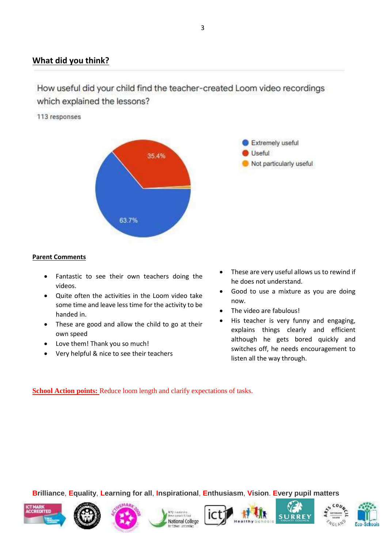## **What did you think?**

# How useful did your child find the teacher-created Loom video recordings which explained the lessons?

#### 113 responses





- Fantastic to see their own teachers doing the videos.
- Quite often the activities in the Loom video take some time and leave less time for the activity to be handed in.
- These are good and allow the child to go at their own speed
- Love them! Thank you so much!
- Very helpful & nice to see their teachers

 These are very useful allows us to rewind if he does not understand.

**Extremely useful** 

Not particularly useful

Useful

- Good to use a mixture as you are doing now.
- The video are fabulous!
- His teacher is very funny and engaging, explains things clearly and efficient although he gets bored quickly and switches off, he needs encouragement to listen all the way through.

**<u>School Action points:</u>** Reduce loom length and clarify expectations of tasks.











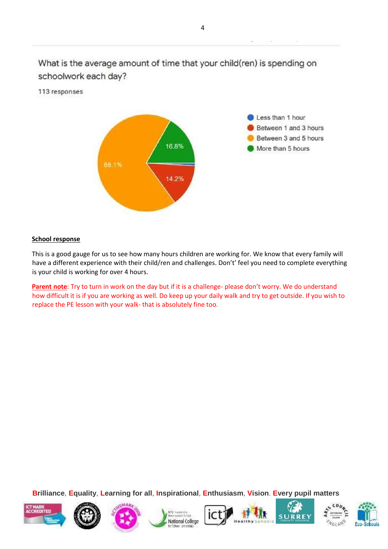What is the average amount of time that your child(ren) is spending on schoolwork each day?

113 responses



#### **School response**

This is a good gauge for us to see how many hours children are working for. We know that every family will have a different experience with their child/ren and challenges. Don't' feel you need to complete everything is your child is working for over 4 hours.

**Parent note**: Try to turn in work on the day but if it is a challenge- please don't worry. We do understand how difficult it is if you are working as well. Do keep up your daily walk and try to get outside. If you wish to replace the PE lesson with your walk- that is absolutely fine too.















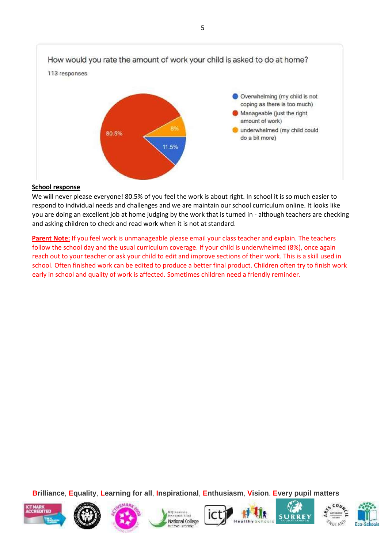

#### **School response**

We will never please everyone! 80.5% of you feel the work is about right. In school it is so much easier to respond to individual needs and challenges and we are maintain our school curriculum online. It looks like you are doing an excellent job at home judging by the work that is turned in - although teachers are checking and asking children to check and read work when it is not at standard.

**Parent Note:** If you feel work is unmanageable please email your class teacher and explain. The teachers follow the school day and the usual curriculum coverage. If your child is underwhelmed (8%), once again reach out to your teacher or ask your child to edit and improve sections of their work. This is a skill used in school. Often finished work can be edited to produce a better final product. Children often try to finish work early in school and quality of work is affected. Sometimes children need a friendly reminder.















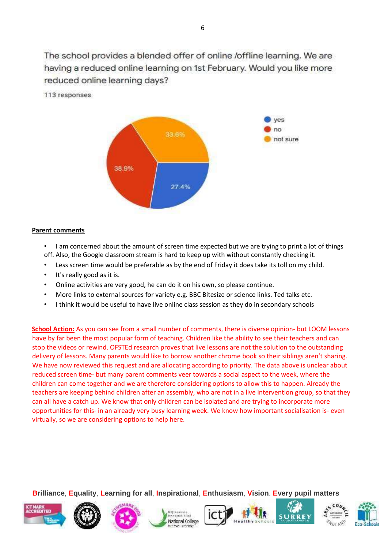The school provides a blended offer of online /offline learning. We are having a reduced online learning on 1st February. Would you like more reduced online learning days?

113 responses



#### **Parent comments**

- I am concerned about the amount of screen time expected but we are trying to print a lot of things off. Also, the Google classroom stream is hard to keep up with without constantly checking it.
- Less screen time would be preferable as by the end of Friday it does take its toll on my child.
- It's really good as it is.
- Online activities are very good, he can do it on his own, so please continue.
- More links to external sources for variety e.g. BBC Bitesize or science links. Ted talks etc.
- I think it would be useful to have live online class session as they do in secondary schools

**School Action:** As you can see from a small number of comments, there is diverse opinion- but LOOM lessons have by far been the most popular form of teaching. Children like the ability to see their teachers and can stop the videos or rewind. OFSTEd research proves that live lessons are not the solution to the outstanding delivery of lessons. Many parents would like to borrow another chrome book so their siblings aren't sharing. We have now reviewed this request and are allocating according to priority. The data above is unclear about reduced screen time- but many parent comments veer towards a social aspect to the week, where the children can come together and we are therefore considering options to allow this to happen. Already the teachers are keeping behind children after an assembly, who are not in a live intervention group, so that they can all have a catch up. We know that only children can be isolated and are trying to incorporate more opportunities for this- in an already very busy learning week. We know how important socialisation is- even virtually, so we are considering options to help here.













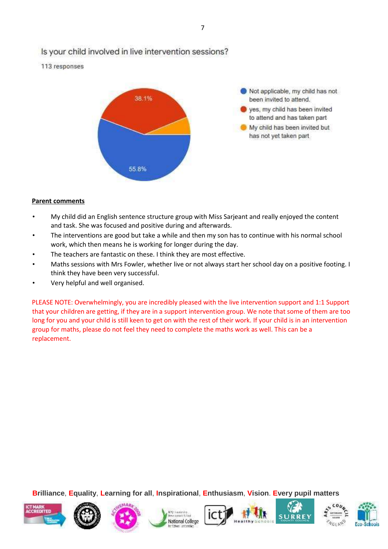## Is your child involved in live intervention sessions?

113 responses



#### **Parent comments**

- My child did an English sentence structure group with Miss Sarjeant and really enjoyed the content and task. She was focused and positive during and afterwards.
- The interventions are good but take a while and then my son has to continue with his normal school work, which then means he is working for longer during the day.
- The teachers are fantastic on these. I think they are most effective.
- Maths sessions with Mrs Fowler, whether live or not always start her school day on a positive footing. I think they have been very successful.
- Very helpful and well organised.

PLEASE NOTE: Overwhelmingly, you are incredibly pleased with the live intervention support and 1:1 Support that your children are getting, if they are in a support intervention group. We note that some of them are too long for you and your child is still keen to get on with the rest of their work. If your child is in an intervention group for maths, please do not feel they need to complete the maths work as well. This can be a replacement.